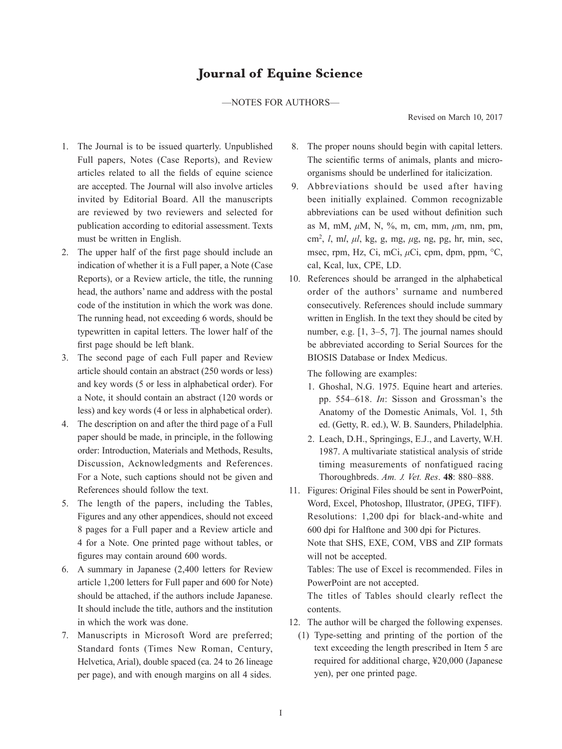# —NOTES FOR AUTHORS—

Revised on March 10, 2017

- 1. The Journal is to be issued quarterly. Unpublished Full papers, Notes (Case Reports), and Review articles related to all the fields of equine science are accepted. The Journal will also involve articles invited by Editorial Board. All the manuscripts are reviewed by two reviewers and selected for publication according to editorial assessment. Texts must be written in English.
- 2. The upper half of the first page should include an indication of whether it is a Full paper, a Note (Case Reports), or a Review article, the title, the running head, the authors' name and address with the postal code of the institution in which the work was done. The running head, not exceeding 6 words, should be typewritten in capital letters. The lower half of the first page should be left blank.
- 3. The second page of each Full paper and Review article should contain an abstract (250 words or less) and key words (5 or less in alphabetical order). For a Note, it should contain an abstract (120 words or less) and key words (4 or less in alphabetical order).
- 4. The description on and after the third page of a Full paper should be made, in principle, in the following order: Introduction, Materials and Methods, Results, Discussion, Acknowledgments and References. For a Note, such captions should not be given and References should follow the text.
- 5. The length of the papers, including the Tables, Figures and any other appendices, should not exceed 8 pages for a Full paper and a Review article and 4 for a Note. One printed page without tables, or figures may contain around 600 words.
- 6. A summary in Japanese (2,400 letters for Review article 1,200 letters for Full paper and 600 for Note) should be attached, if the authors include Japanese. It should include the title, authors and the institution in which the work was done.
- 7. Manuscripts in Microsoft Word are preferred; Standard fonts (Times New Roman, Century, Helvetica, Arial), double spaced (ca. 24 to 26 lineage per page), and with enough margins on all 4 sides.
- 8. The proper nouns should begin with capital letters. The scientific terms of animals, plants and microorganisms should be underlined for italicization.
- 9. Abbreviations should be used after having been initially explained. Common recognizable abbreviations can be used without definition such as M, mM, *μ*M, N, %, m, cm, mm, *μ*m, nm, pm, cm2 , *l*, m*l*, *μl*, kg, g, mg, *μ*g, ng, pg, hr, min, sec, msec, rpm, Hz, Ci, mCi, *μ*Ci, cpm, dpm, ppm, °C, cal, Kcal, lux, CPE, LD.
- 10. References should be arranged in the alphabetical order of the authors' surname and numbered consecutively. References should include summary written in English. In the text they should be cited by number, e.g. [1, 3–5, 7]. The journal names should be abbreviated according to Serial Sources for the BIOSIS Database or Index Medicus.

The following are examples:

- 1. Ghoshal, N.G. 1975. Equine heart and arteries. pp. 554–618. *In*: Sisson and Grossman's the Anatomy of the Domestic Animals, Vol. 1, 5th ed. (Getty, R. ed.), W. B. Saunders, Philadelphia.
- 2. Leach, D.H., Springings, E.J., and Laverty, W.H. 1987. A multivariate statistical analysis of stride timing measurements of nonfatigued racing Thoroughbreds. *Am.* J*. Vet. Res*. **48**: 880–888.
- 11. Figures: Original Files should be sent in PowerPoint, Word, Excel, Photoshop, Illustrator, (JPEG, TIFF). Resolutions: 1,200 dpi for black-and-white and 600 dpi for Halftone and 300 dpi for Pictures. Note that SHS, EXE, COM, VBS and ZIP formats will not be accepted. Tables: The use of Excel is recommended. Files in

PowerPoint are not accepted.

The titles of Tables should clearly reflect the contents.

- 12. The author will be charged the following expenses.
	- (1) Type-setting and printing of the portion of the text exceeding the length prescribed in Item 5 are required for additional charge, ¥20,000 (Japanese yen), per one printed page.